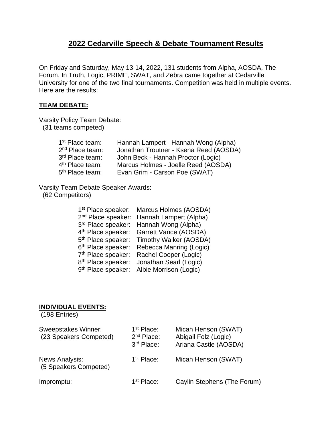## **2022 Cedarville Speech & Debate Tournament Results**

On Friday and Saturday, May 13-14, 2022, 131 students from Alpha, AOSDA, The Forum, In Truth, Logic, PRIME, SWAT, and Zebra came together at Cedarville University for one of the two final tournaments. Competition was held in multiple events. Here are the results:

## **TEAM DEBATE:**

Varsity Policy Team Debate:

(31 teams competed)

| 1 <sup>st</sup> Place team: | Hannah Lampert - Hannah Wong (Alpha)   |
|-----------------------------|----------------------------------------|
| 2 <sup>nd</sup> Place team: | Jonathan Troutner - Ksena Reed (AOSDA) |
| 3rd Place team:             | John Beck - Hannah Proctor (Logic)     |
| 4 <sup>th</sup> Place team: | Marcus Holmes - Joelle Reed (AOSDA)    |
| 5 <sup>th</sup> Place team: | Evan Grim - Carson Poe (SWAT)          |

Varsity Team Debate Speaker Awards: (62 Competitors)

| 1 <sup>st</sup> Place speaker: | Marcus Holmes (AOSDA)   |
|--------------------------------|-------------------------|
| 2 <sup>nd</sup> Place speaker: | Hannah Lampert (Alpha)  |
| 3rd Place speaker:             | Hannah Wong (Alpha)     |
| 4 <sup>th</sup> Place speaker: | Garrett Vance (AOSDA)   |
| 5 <sup>th</sup> Place speaker: | Timothy Walker (AOSDA)  |
| 6 <sup>th</sup> Place speaker: | Rebecca Manring (Logic) |
| 7 <sup>th</sup> Place speaker: | Rachel Cooper (Logic)   |
| 8 <sup>th</sup> Place speaker: | Jonathan Searl (Logic)  |
| 9 <sup>th</sup> Place speaker: | Albie Morrison (Logic)  |

## **INDIVIDUAL EVENTS:**

(198 Entries)

| <b>Sweepstakes Winner:</b><br>(23 Speakers Competed) | 1 <sup>st</sup> Place:<br>$2nd$ Place:<br>3rd Place: | Micah Henson (SWAT)<br>Abigail Folz (Logic)<br>Ariana Castle (AOSDA) |
|------------------------------------------------------|------------------------------------------------------|----------------------------------------------------------------------|
| <b>News Analysis:</b><br>(5 Speakers Competed)       | 1 <sup>st</sup> Place:                               | Micah Henson (SWAT)                                                  |
| Impromptu:                                           | 1 <sup>st</sup> Place:                               | Caylin Stephens (The Forum)                                          |